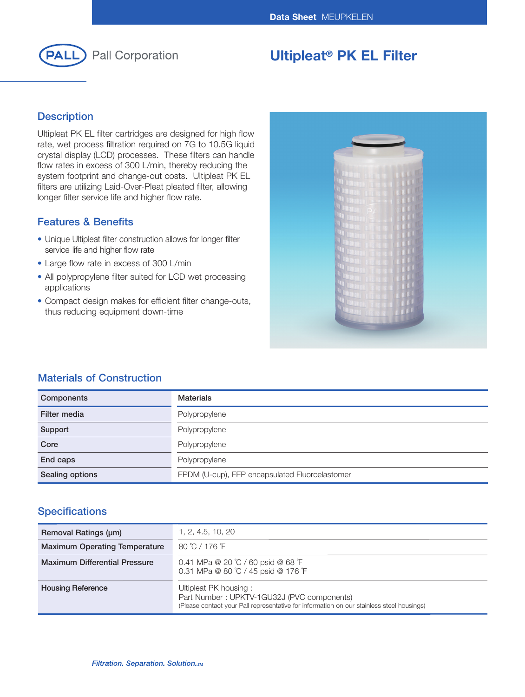

# **Ultipleat® PK EL Filter**

## **Description**

Ultipleat PK EL filter cartridges are designed for high flow rate, wet process filtration required on 7G to 10.5G liquid crystal display (LCD) processes. These filters can handle flow rates in excess of 300 L/min, thereby reducing the system footprint and change-out costs. Ultipleat PK EL filters are utilizing Laid-Over-Pleat pleated filter, allowing longer filter service life and higher flow rate.

## **Features & Benefits**

- Unique Ultipleat filter construction allows for longer filter service life and higher flow rate
- Large flow rate in excess of 300 L/min
- All polypropylene filter suited for LCD wet processing applications
- Compact design makes for efficient filter change-outs, thus reducing equipment down-time



## **Materials of Construction**

| Components      | <b>Materials</b>                               |
|-----------------|------------------------------------------------|
| Filter media    | Polypropylene                                  |
| Support         | Polypropylene                                  |
| Core            | Polypropylene                                  |
| End caps        | Polypropylene                                  |
| Sealing options | EPDM (U-cup), FEP encapsulated Fluoroelastomer |

## **Specifications**

| Removal Ratings (um)                 | 1, 2, 4.5, 10, 20                                                                                                                                                |
|--------------------------------------|------------------------------------------------------------------------------------------------------------------------------------------------------------------|
| <b>Maximum Operating Temperature</b> | 80 °C / 176 °F                                                                                                                                                   |
| <b>Maximum Differential Pressure</b> | 0.41 MPa @ 20 °C / 60 psid @ 68 °F<br>0.31 MPa @ 80 °C / 45 psid @ 176 °F                                                                                        |
| <b>Housing Reference</b>             | Ultipleat PK housing:<br>Part Number: UPKTV-1GU32J (PVC components)<br>(Please contact your Pall representative for information on our stainless steel housings) |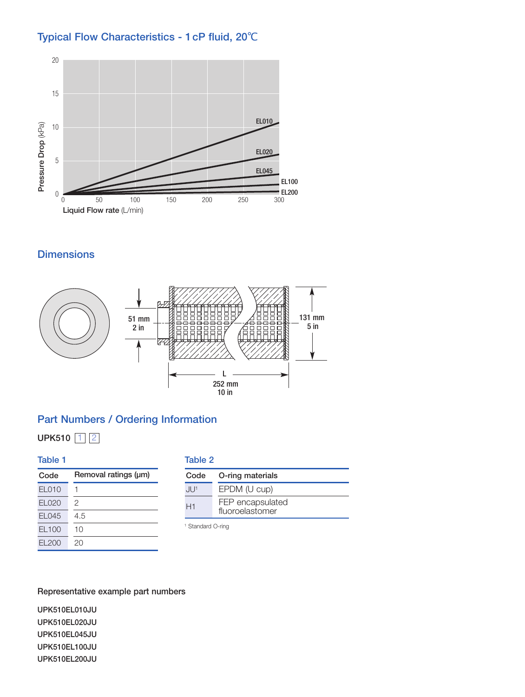# **Typical Flow Characteristics - 1cP fluid, 20**℃



**Dimensions**



## **Part Numbers / Ordering Information**

**UPK510** 1 2

| Table 1      |                      |
|--------------|----------------------|
| Code         | Removal ratings (µm) |
| <b>EL010</b> | 1                    |
| EL020        | 2                    |
| EL045        | 4.5                  |
| EL100        | 10                   |
| FI 200       | クロ                   |

#### **Table 2**

| Code    | O-ring materials                    |
|---------|-------------------------------------|
| . II J1 | EPDM (U cup)                        |
| H1      | FEP encapsulated<br>fluoroelastomer |

<sup>1</sup> Standard O-ring

## **Representative example part numbers**

**UPK510EL010JU UPK510EL020JU UPK510EL045JU UPK510EL100JU UPK510EL200JU**